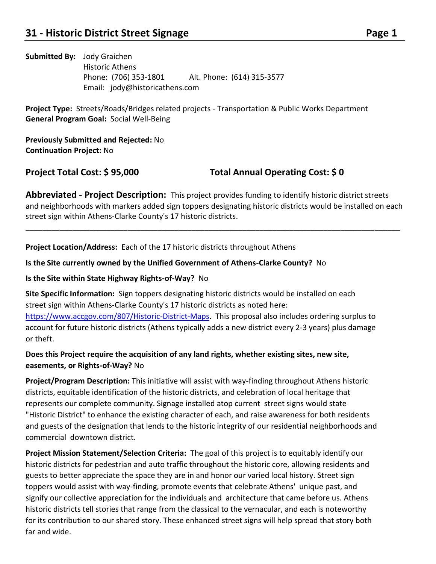# **Submitted By:** Jody Graichen Historic Athens Phone: (706) 353-1801 Alt. Phone: (614) 315-3577 Email: jody@historicathens.com

**Project Type:** Streets/Roads/Bridges related projects - Transportation & Public Works Department **General Program Goal:** Social Well-Being

**Previously Submitted and Rejected:** No **Continuation Project:** No

**Project Total Cost: \$ 95,000 Total Annual Operating Cost: \$ 0**

**Abbreviated - Project Description:** This project provides funding to identify historic district streets and neighborhoods with markers added sign toppers designating historic districts would be installed on each street sign within Athens-Clarke County's 17 historic districts.

\_\_\_\_\_\_\_\_\_\_\_\_\_\_\_\_\_\_\_\_\_\_\_\_\_\_\_\_\_\_\_\_\_\_\_\_\_\_\_\_\_\_\_\_\_\_\_\_\_\_\_\_\_\_\_\_\_\_\_\_\_\_\_\_\_\_\_\_\_\_\_\_\_\_\_\_\_\_\_\_\_\_\_\_\_\_\_\_

**Project Location/Address:** Each of the 17 historic districts throughout Athens

# **Is the Site currently owned by the Unified Government of Athens-Clarke County?** No

# **Is the Site within State Highway Rights-of-Way?** No

**Site Specific Information:** Sign toppers designating historic districts would be installed on each street sign within Athens-Clarke County's 17 historic districts as noted here: [https://www.accgov.com/807/Historic-District-Maps.](https://www.accgov.com/807/Historic-District-Maps) This proposal also includes ordering surplus to account for future historic districts (Athens typically adds a new district every 2-3 years) plus damage or theft.

# **Does this Project require the acquisition of any land rights, whether existing sites, new site, easements, or Rights-of-Way?** No

**Project/Program Description:** This initiative will assist with way-finding throughout Athens historic districts, equitable identification of the historic districts, and celebration of local heritage that represents our complete community. Signage installed atop current street signs would state "Historic District" to enhance the existing character of each, and raise awareness for both residents and guests of the designation that lends to the historic integrity of our residential neighborhoods and commercial downtown district.

**Project Mission Statement/Selection Criteria:** The goal of this project is to equitably identify our historic districts for pedestrian and auto traffic throughout the historic core, allowing residents and guests to better appreciate the space they are in and honor our varied local history. Street sign toppers would assist with way-finding, promote events that celebrate Athens' unique past, and signify our collective appreciation for the individuals and architecture that came before us. Athens historic districts tell stories that range from the classical to the vernacular, and each is noteworthy for its contribution to our shared story. These enhanced street signs will help spread that story both far and wide.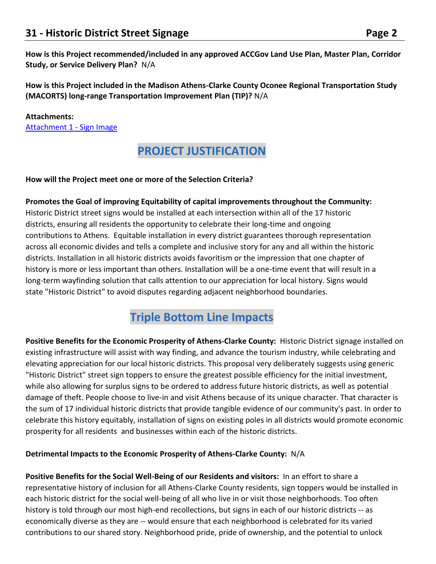**How is this Project recommended/included in any approved ACCGov Land Use Plan, Master Plan, Corridor Study, or Service Delivery Plan?** N/A

**How is this Project included in the Madison Athens-Clarke County Oconee Regional Transportation Study (MACORTS) long-range Transportation Improvement Plan (TIP)?** N/A

#### **Attachments:**

[Attachment 1 -](https://s3.amazonaws.com/files.formstack.com/uploads/4416721/111256916/845973752/111256916_image001.png) Sign Image

# **PROJECT JUSTIFICATION**

#### **How will the Project meet one or more of the Selection Criteria?**

**Promotes the Goal of improving Equitability of capital improvements throughout the Community:**  Historic District street signs would be installed at each intersection within all of the 17 historic districts, ensuring all residents the opportunity to celebrate their long-time and ongoing contributions to Athens. Equitable installation in every district guarantees thorough representation across all economic divides and tells a complete and inclusive story for any and all within the historic districts. Installation in all historic districts avoids favoritism or the impression that one chapter of history is more or less important than others. Installation will be a one-time event that will result in a long-term wayfinding solution that calls attention to our appreciation for local history. Signs would state "Historic District" to avoid disputes regarding adjacent neighborhood boundaries.

# **Triple Bottom Line Impacts**

**Positive Benefits for the Economic Prosperity of Athens-Clarke County:** Historic District signage installed on existing infrastructure will assist with way finding, and advance the tourism industry, while celebrating and elevating appreciation for our local historic districts. This proposal very deliberately suggests using generic "Historic District" street sign toppers to ensure the greatest possible efficiency for the initial investment, while also allowing for surplus signs to be ordered to address future historic districts, as well as potential damage of theft. People choose to live-in and visit Athens because of its unique character. That character is the sum of 17 individual historic districts that provide tangible evidence of our community's past. In order to celebrate this history equitably, installation of signs on existing poles in all districts would promote economic prosperity for all residents and businesses within each of the historic districts.

### **Detrimental Impacts to the Economic Prosperity of Athens-Clarke County:** N/A

**Positive Benefits for the Social Well-Being of our Residents and visitors:** In an effort to share a representative history of inclusion for all Athens-Clarke County residents, sign toppers would be installed in each historic district for the social well-being of all who live in or visit those neighborhoods. Too often history is told through our most high-end recollections, but signs in each of our historic districts -- as economically diverse as they are -- would ensure that each neighborhood is celebrated for its varied contributions to our shared story. Neighborhood pride, pride of ownership, and the potential to unlock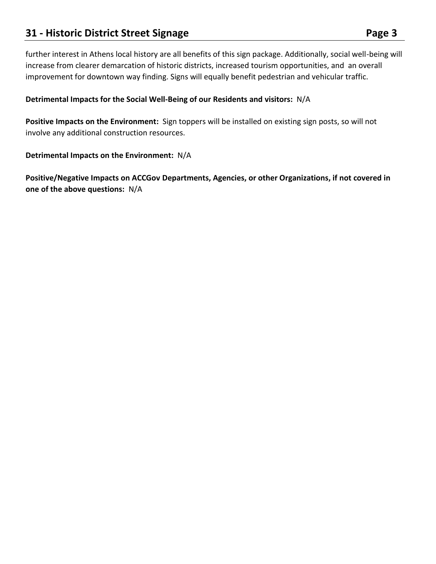# **21 • Historic District Street Signage Page 3 Page 3**

further interest in Athens local history are all benefits of this sign package. Additionally, social well-being will increase from clearer demarcation of historic districts, increased tourism opportunities, and an overall improvement for downtown way finding. Signs will equally benefit pedestrian and vehicular traffic.

# **Detrimental Impacts for the Social Well-Being of our Residents and visitors:** N/A

**Positive Impacts on the Environment:** Sign toppers will be installed on existing sign posts, so will not involve any additional construction resources.

### **Detrimental Impacts on the Environment:** N/A

**Positive/Negative Impacts on ACCGov Departments, Agencies, or other Organizations, if not covered in one of the above questions:** N/A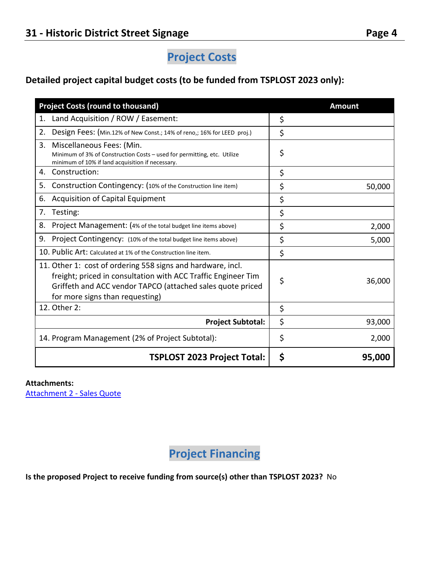# **Project Costs**

# **Detailed project capital budget costs (to be funded from TSPLOST 2023 only):**

| <b>Project Costs (round to thousand)</b>                                                                                                                                                                                      | <b>Amount</b> |
|-------------------------------------------------------------------------------------------------------------------------------------------------------------------------------------------------------------------------------|---------------|
| Land Acquisition / ROW / Easement:<br>1.                                                                                                                                                                                      | \$            |
| 2.<br>Design Fees: (Min.12% of New Const.; 14% of reno,; 16% for LEED proj.)                                                                                                                                                  | \$            |
| 3.<br>Miscellaneous Fees: (Min.<br>Minimum of 3% of Construction Costs - used for permitting, etc. Utilize<br>minimum of 10% if land acquisition if necessary.                                                                | \$            |
| Construction:<br>4.                                                                                                                                                                                                           | \$            |
| Construction Contingency: (10% of the Construction line item)<br>5.                                                                                                                                                           | \$<br>50,000  |
| Acquisition of Capital Equipment<br>6.                                                                                                                                                                                        | \$            |
| Testing:<br>7.                                                                                                                                                                                                                | \$            |
| Project Management: (4% of the total budget line items above)<br>8.                                                                                                                                                           | \$<br>2,000   |
| 9.<br>Project Contingency: (10% of the total budget line items above)                                                                                                                                                         | \$<br>5,000   |
| 10. Public Art: Calculated at 1% of the Construction line item.                                                                                                                                                               | \$            |
| 11. Other 1: cost of ordering 558 signs and hardware, incl.<br>freight; priced in consultation with ACC Traffic Engineer Tim<br>Griffeth and ACC vendor TAPCO (attached sales quote priced<br>for more signs than requesting) | \$<br>36,000  |
| 12. Other 2:                                                                                                                                                                                                                  | \$            |
| <b>Project Subtotal:</b>                                                                                                                                                                                                      | \$<br>93,000  |
| 14. Program Management (2% of Project Subtotal):                                                                                                                                                                              | \$<br>2,000   |
| <b>TSPLOST 2023 Project Total:</b>                                                                                                                                                                                            | \$<br>95,000  |

#### **Attachments:**

[Attachment 2 -](https://s3.amazonaws.com/files.formstack.com/uploads/4416721/111256937/845973752/111256937_sales-quote_q21012859.pdf) Sales Quote

**Project Financing**

**Is the proposed Project to receive funding from source(s) other than TSPLOST 2023?** No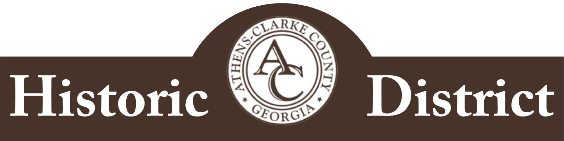# Historic